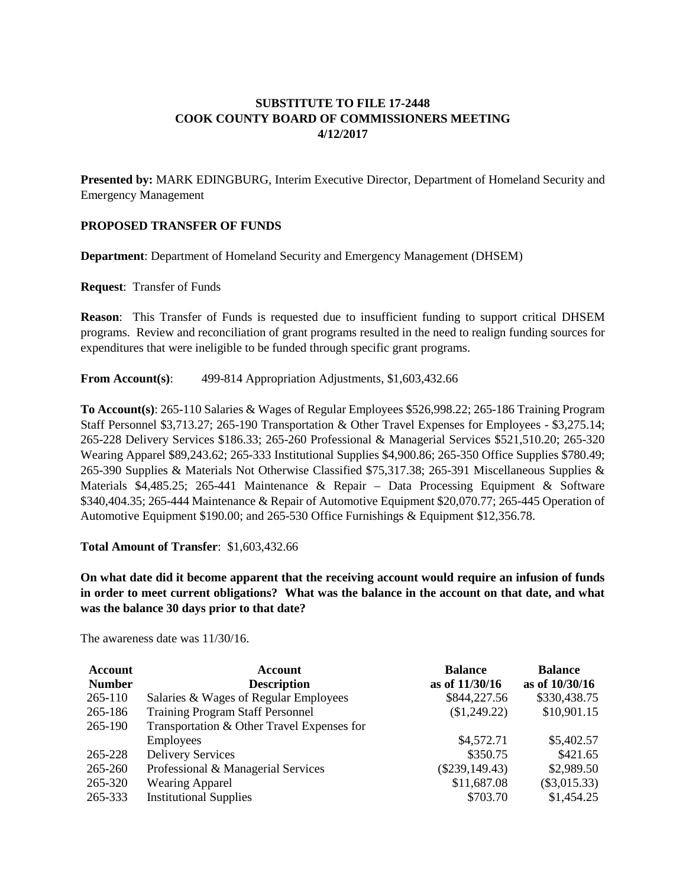# **SUBSTITUTE TO FILE 17-2448 COOK COUNTY BOARD OF COMMISSIONERS MEETING 4/12/2017**

**Presented by:** MARK EDINGBURG, Interim Executive Director, Department of Homeland Security and Emergency Management

## **PROPOSED TRANSFER OF FUNDS**

**Department**: Department of Homeland Security and Emergency Management (DHSEM)

**Request**: Transfer of Funds

**Reason**: This Transfer of Funds is requested due to insufficient funding to support critical DHSEM programs. Review and reconciliation of grant programs resulted in the need to realign funding sources for expenditures that were ineligible to be funded through specific grant programs.

**From Account(s)**: 499-814 Appropriation Adjustments, \$1,603,432.66

**To Account(s)**: 265-110 Salaries & Wages of Regular Employees \$526,998.22; 265-186 Training Program Staff Personnel \$3,713.27; 265-190 Transportation & Other Travel Expenses for Employees - \$3,275.14; 265-228 Delivery Services \$186.33; 265-260 Professional & Managerial Services \$521,510.20; 265-320 Wearing Apparel \$89,243.62; 265-333 Institutional Supplies \$4,900.86; 265-350 Office Supplies \$780.49; 265-390 Supplies & Materials Not Otherwise Classified \$75,317.38; 265-391 Miscellaneous Supplies & Materials \$4,485.25; 265-441 Maintenance & Repair – Data Processing Equipment & Software \$340,404.35; 265-444 Maintenance & Repair of Automotive Equipment \$20,070.77; 265-445 Operation of Automotive Equipment \$190.00; and 265-530 Office Furnishings & Equipment \$12,356.78.

#### **Total Amount of Transfer**: \$1,603,432.66

**On what date did it become apparent that the receiving account would require an infusion of funds in order to meet current obligations? What was the balance in the account on that date, and what was the balance 30 days prior to that date?**

The awareness date was 11/30/16.

| <b>Account</b> | <b>Account</b>                             | <b>Balance</b>   | <b>Balance</b> |
|----------------|--------------------------------------------|------------------|----------------|
| <b>Number</b>  | <b>Description</b>                         | as of 11/30/16   | as of 10/30/16 |
| 265-110        | Salaries & Wages of Regular Employees      | \$844,227.56     | \$330,438.75   |
| 265-186        | <b>Training Program Staff Personnel</b>    | \$1,249.22)      | \$10,901.15    |
| 265-190        | Transportation & Other Travel Expenses for |                  |                |
|                | <b>Employees</b>                           | \$4,572.71       | \$5,402.57     |
| 265-228        | <b>Delivery Services</b>                   | \$350.75         | \$421.65       |
| 265-260        | Professional & Managerial Services         | $(\$239,149.43)$ | \$2,989.50     |
| 265-320        | <b>Wearing Apparel</b>                     | \$11,687.08      | $(\$3,015.33)$ |
| 265-333        | <b>Institutional Supplies</b>              | \$703.70         | \$1,454.25     |